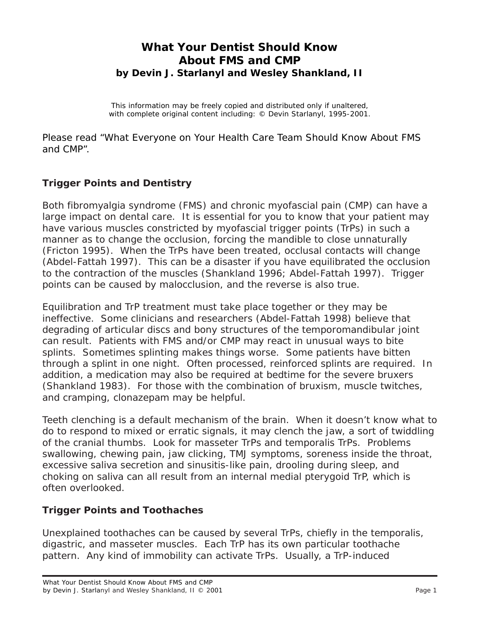# **What Your Dentist Should Know About FMS and CMP by Devin J. Starlanyl and Wesley Shankland, II**

This information may be freely copied and distributed only if unaltered, with complete original content including: © Devin Starlanyl, 1995-2001.

Please read "What Everyone on Your Health Care Team Should Know About FMS and CMP".

#### **Trigger Points and Dentistry**

Both fibromyalgia syndrome (FMS) and chronic myofascial pain (CMP) can have a large impact on dental care. It is essential for you to know that your patient may have various muscles constricted by myofascial trigger points (TrPs) in such a manner as to change the occlusion, forcing the mandible to close unnaturally (Fricton 1995). When the TrPs have been treated, occlusal contacts will change (Abdel-Fattah 1997). This can be a disaster if you have equilibrated the occlusion to the contraction of the muscles (Shankland 1996; Abdel-Fattah 1997). Trigger points can be caused by malocclusion, and the reverse is also true.

Equilibration and TrP treatment must take place together or they may be ineffective. Some clinicians and researchers (Abdel-Fattah 1998) believe that degrading of articular discs and bony structures of the temporomandibular joint can result. Patients with FMS and/or CMP may react in unusual ways to bite splints. Sometimes splinting makes things worse. Some patients have bitten through a splint in one night. Often processed, reinforced splints are required. In addition, a medication may also be required at bedtime for the severe bruxers (Shankland 1983). For those with the combination of bruxism, muscle twitches, and cramping, clonazepam may be helpful.

Teeth clenching is a default mechanism of the brain. When it doesn't know what to do to respond to mixed or erratic signals, it may clench the jaw, a sort of twiddling of the cranial thumbs. Look for masseter TrPs and temporalis TrPs. Problems swallowing, chewing pain, jaw clicking, TMJ symptoms, soreness inside the throat, excessive saliva secretion and sinusitis-like pain, drooling during sleep, and choking on saliva can all result from an internal medial pterygoid TrP, which is often overlooked.

#### **Trigger Points and Toothaches**

Unexplained toothaches can be caused by several TrPs, chiefly in the temporalis, digastric, and masseter muscles. Each TrP has its own particular toothache pattern. Any kind of immobility can activate TrPs. Usually, a TrP-induced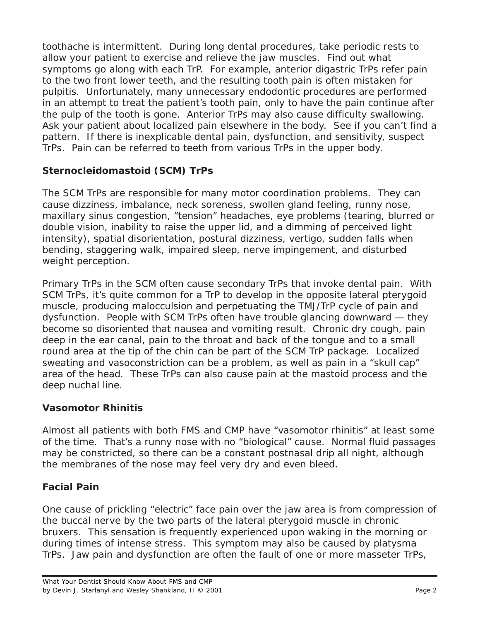toothache is intermittent. During long dental procedures, take periodic rests to allow your patient to exercise and relieve the jaw muscles. Find out what symptoms go along with each TrP. For example, anterior digastric TrPs refer pain to the two front lower teeth, and the resulting tooth pain is often mistaken for pulpitis. Unfortunately, many unnecessary endodontic procedures are performed in an attempt to treat the patient's tooth pain, only to have the pain continue after the pulp of the tooth is gone. Anterior TrPs may also cause difficulty swallowing. Ask your patient about localized pain elsewhere in the body. See if you can't find a pattern. If there is inexplicable dental pain, dysfunction, and sensitivity, suspect TrPs. Pain can be referred to teeth from various TrPs in the upper body.

## **Sternocleidomastoid (SCM) TrPs**

The SCM TrPs are responsible for many motor coordination problems. They can cause dizziness, imbalance, neck soreness, swollen gland feeling, runny nose, maxillary sinus congestion, "tension" headaches, eye problems (tearing, blurred or double vision, inability to raise the upper lid, and a dimming of perceived light intensity), spatial disorientation, postural dizziness, vertigo, sudden falls when bending, staggering walk, impaired sleep, nerve impingement, and disturbed weight perception.

Primary TrPs in the SCM often cause secondary TrPs that invoke dental pain. With SCM TrPs, it's quite common for a TrP to develop in the opposite lateral pterygoid muscle, producing malocculsion and perpetuating the TMJ/TrP cycle of pain and dysfunction. People with SCM TrPs often have trouble glancing downward — they become so disoriented that nausea and vomiting result. Chronic dry cough, pain deep in the ear canal, pain to the throat and back of the tongue and to a small round area at the tip of the chin can be part of the SCM TrP package. Localized sweating and vasoconstriction can be a problem, as well as pain in a "skull cap" area of the head. These TrPs can also cause pain at the mastoid process and the deep nuchal line.

#### **Vasomotor Rhinitis**

Almost all patients with both FMS and CMP have "vasomotor rhinitis" at least some of the time. That's a runny nose with no "biological" cause. Normal fluid passages may be constricted, so there can be a constant postnasal drip all night, although the membranes of the nose may feel very dry and even bleed.

## **Facial Pain**

One cause of prickling "electric" face pain over the jaw area is from compression of the buccal nerve by the two parts of the lateral pterygoid muscle in chronic bruxers. This sensation is frequently experienced upon waking in the morning or during times of intense stress. This symptom may also be caused by platysma TrPs. Jaw pain and dysfunction are often the fault of one or more masseter TrPs,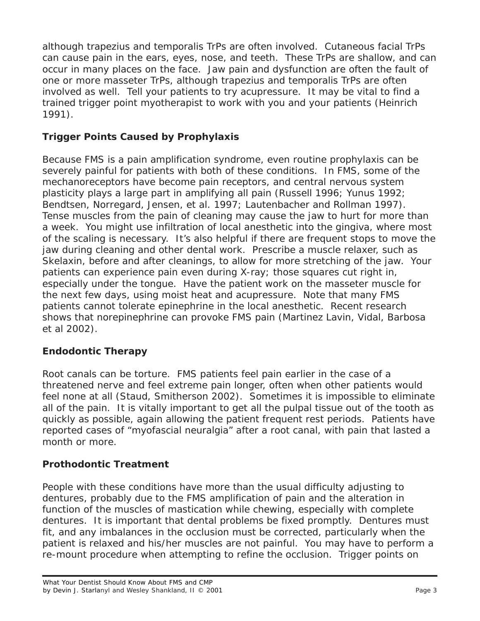although trapezius and temporalis TrPs are often involved. Cutaneous facial TrPs can cause pain in the ears, eyes, nose, and teeth. These TrPs are shallow, and can occur in many places on the face. Jaw pain and dysfunction are often the fault of one or more masseter TrPs, although trapezius and temporalis TrPs are often involved as well. Tell your patients to try acupressure. It may be vital to find a trained trigger point myotherapist to work with you and your patients (Heinrich 1991).

## **Trigger Points Caused by Prophylaxis**

Because FMS is a pain amplification syndrome, even routine prophylaxis can be severely painful for patients with both of these conditions. In FMS, some of the mechanoreceptors have become pain receptors, and central nervous system plasticity plays a large part in amplifying all pain (Russell 1996; Yunus 1992; Bendtsen, Norregard, Jensen, et al. 1997; Lautenbacher and Rollman 1997). Tense muscles from the pain of cleaning may cause the jaw to hurt for more than a week. You might use infiltration of local anesthetic into the gingiva, where most of the scaling is necessary. It's also helpful if there are frequent stops to move the jaw during cleaning and other dental work. Prescribe a muscle relaxer, such as Skelaxin, before and after cleanings, to allow for more stretching of the jaw. Your patients can experience pain even during X-ray; those squares cut right in, especially under the tongue. Have the patient work on the masseter muscle for the next few days, using moist heat and acupressure. Note that many FMS patients cannot tolerate epinephrine in the local anesthetic. Recent research shows that norepinephrine can provoke FMS pain (Martinez Lavin, Vidal, Barbosa et al 2002).

## **Endodontic Therapy**

Root canals can be torture. FMS patients feel pain earlier in the case of a threatened nerve and feel extreme pain longer, often when other patients would feel none at all (Staud, Smitherson 2002). Sometimes it is impossible to eliminate all of the pain. It is vitally important to get all the pulpal tissue out of the tooth as quickly as possible, again allowing the patient frequent rest periods. Patients have reported cases of "myofascial neuralgia" after a root canal, with pain that lasted a month or more.

#### **Prothodontic Treatment**

People with these conditions have more than the usual difficulty adjusting to dentures, probably due to the FMS amplification of pain and the alteration in function of the muscles of mastication while chewing, especially with complete dentures. It is important that dental problems be fixed promptly. Dentures must fit, and any imbalances in the occlusion must be corrected, particularly when the patient is relaxed and his/her muscles are not painful. You may have to perform a re-mount procedure when attempting to refine the occlusion. Trigger points on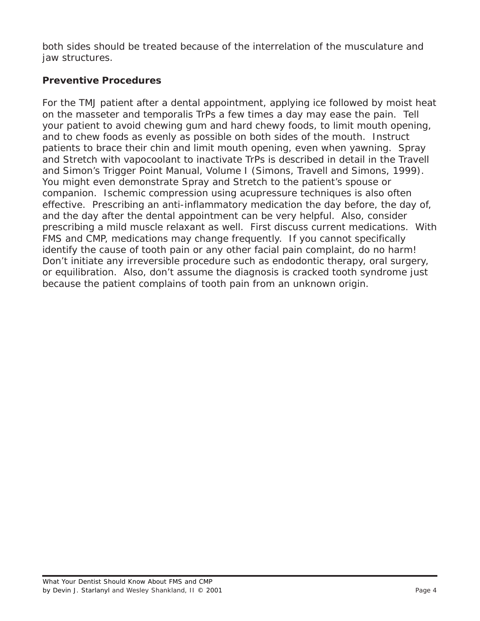both sides should be treated because of the interrelation of the musculature and jaw structures.

## **Preventive Procedures**

For the TMJ patient after a dental appointment, applying ice followed by moist heat on the masseter and temporalis TrPs a few times a day may ease the pain. Tell your patient to avoid chewing gum and hard chewy foods, to limit mouth opening, and to chew foods as evenly as possible on both sides of the mouth. Instruct patients to brace their chin and limit mouth opening, even when yawning. Spray and Stretch with vapocoolant to inactivate TrPs is described in detail in the Travell and Simon's Trigger Point Manual, Volume I (Simons, Travell and Simons, 1999). You might even demonstrate Spray and Stretch to the patient's spouse or companion. Ischemic compression using acupressure techniques is also often effective. Prescribing an anti-inflammatory medication the day before, the day of, and the day after the dental appointment can be very helpful. Also, consider prescribing a mild muscle relaxant as well. First discuss current medications. With FMS and CMP, medications may change frequently. If you cannot specifically identify the cause of tooth pain or any other facial pain complaint, do no harm! Don't initiate any irreversible procedure such as endodontic therapy, oral surgery, or equilibration. Also, don't assume the diagnosis is cracked tooth syndrome just because the patient complains of tooth pain from an unknown origin.